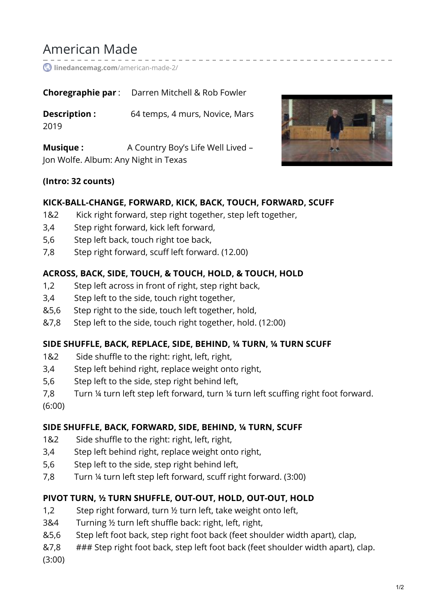# American Made

**[linedancemag.com](https://www.linedancemag.com/american-made-2/)**/american-made-2/

**Choregraphie par** : Darren Mitchell & Rob Fowler

**Description :** 64 temps, 4 murs, Novice, Mars 2019

**Musique :** A Country Boy's Life Well Lived – Jon Wolfe. Album: Any Night in Texas

## **(Intro: 32 counts)**

## **KICK-BALL-CHANGE, FORWARD, KICK, BACK, TOUCH, FORWARD, SCUFF**

- 1&2 Kick right forward, step right together, step left together,
- 3,4 Step right forward, kick left forward,
- 5,6 Step left back, touch right toe back,
- 7,8 Step right forward, scuff left forward. (12.00)

## **ACROSS, BACK, SIDE, TOUCH, & TOUCH, HOLD, & TOUCH, HOLD**

- 1,2 Step left across in front of right, step right back,
- 3,4 Step left to the side, touch right together,
- &5,6 Step right to the side, touch left together, hold,
- &7,8 Step left to the side, touch right together, hold. (12:00)

# **SIDE SHUFFLE, BACK, REPLACE, SIDE, BEHIND, ¼ TURN, ¼ TURN SCUFF**

- 1&2 Side shuffle to the right: right, left, right,
- 3,4 Step left behind right, replace weight onto right,
- 5,6 Step left to the side, step right behind left,
- 7,8 Turn ¼ turn left step left forward, turn ¼ turn left scuffing right foot forward.

(6:00)

# **SIDE SHUFFLE, BACK, FORWARD, SIDE, BEHIND, ¼ TURN, SCUFF**

- 1&2 Side shuffle to the right: right, left, right,
- 3,4 Step left behind right, replace weight onto right,
- 5,6 Step left to the side, step right behind left,
- 7,8 Turn ¼ turn left step left forward, scuff right forward. (3:00)

# **PIVOT TURN, ½ TURN SHUFFLE, OUT-OUT, HOLD, OUT-OUT, HOLD**

- 1,2 Step right forward, turn ½ turn left, take weight onto left,
- 3&4 Turning ½ turn left shuffle back: right, left, right,
- &5,6 Step left foot back, step right foot back (feet shoulder width apart), clap,
- &7,8 ### Step right foot back, step left foot back (feet shoulder width apart), clap.

(3:00)